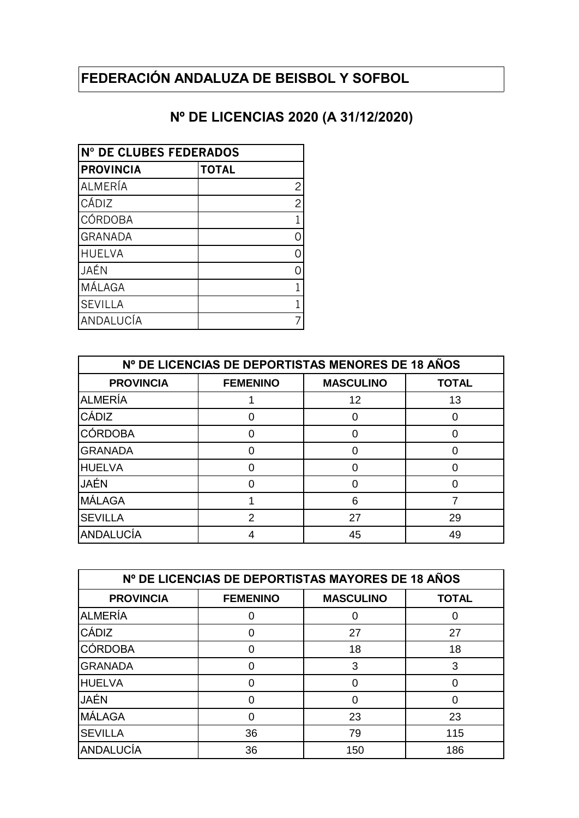## **FEDERACIÓN ANDALUZA DE BEISBOL Y SOFBOL**

## **Nº DE LICENCIAS 2020 (A 31/12/2020)**

| INº DE CLUBES FEDERADOS |              |  |
|-------------------------|--------------|--|
| <b>PROVINCIA</b>        | <b>TOTAL</b> |  |
| ALMERÍA                 | 2            |  |
| CÁDIZ                   | 2            |  |
| <b>CÓRDOBA</b>          |              |  |
| <b>GRANADA</b>          |              |  |
| <b>HUELVA</b>           |              |  |
| JAÉN                    |              |  |
| MÁLAGA                  |              |  |
| <b>SEVILLA</b>          |              |  |
| ANDALUCÍA               |              |  |

| Nº DE LICENCIAS DE DEPORTISTAS MENORES DE 18 AÑOS |                 |                  |              |
|---------------------------------------------------|-----------------|------------------|--------------|
| <b>PROVINCIA</b>                                  | <b>FEMENINO</b> | <b>MASCULINO</b> | <b>TOTAL</b> |
| ALMERÍA                                           |                 | 12               | 13           |
| <b>CÁDIZ</b>                                      |                 |                  |              |
| <b>CÓRDOBA</b>                                    |                 |                  |              |
| <b>GRANADA</b>                                    |                 | O                |              |
| <b>HUELVA</b>                                     |                 |                  |              |
| <b>JAÉN</b>                                       |                 |                  |              |
| <b>MÁLAGA</b>                                     |                 | 6                |              |
| <b>SEVILLA</b>                                    | 2               | 27               | 29           |
| ANDALUCÍA                                         |                 | 45               | 49           |

| Nº DE LICENCIAS DE DEPORTISTAS MAYORES DE 18 AÑOS |                 |                  |              |
|---------------------------------------------------|-----------------|------------------|--------------|
| <b>PROVINCIA</b>                                  | <b>FEMENINO</b> | <b>MASCULINO</b> | <b>TOTAL</b> |
| <b>ALMERÍA</b>                                    |                 |                  |              |
| CÁDIZ                                             |                 | 27               | 27           |
| <b>CÓRDOBA</b>                                    | ი               | 18               | 18           |
| <b>GRANADA</b>                                    | Ω               | 3                | 3            |
| <b>HUELVA</b>                                     | በ               | ∩                |              |
| JAÉN                                              | በ               | ∩                |              |
| MÁLAGA                                            | Ω               | 23               | 23           |
| <b>SEVILLA</b>                                    | 36              | 79               | 115          |
| ANDALUCÍA                                         | 36              | 150              | 186          |